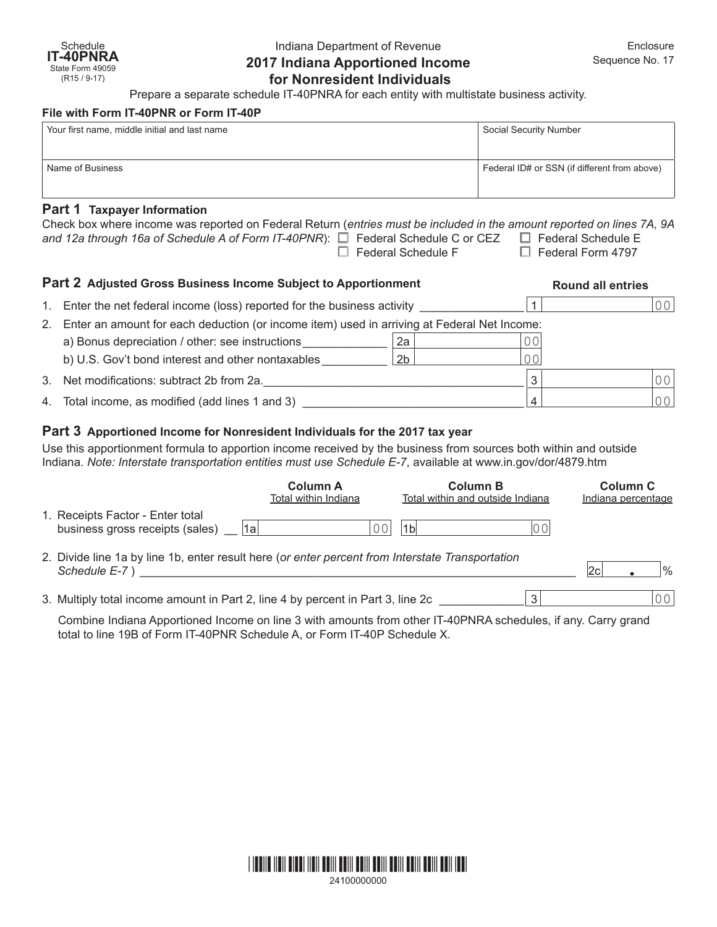# Indiana Department of Revenue **2017 Indiana Apportioned Income for Nonresident Individuals**

Prepare a separate schedule IT-40PNRA for each entity with multistate business activity.

#### **File with Form IT-40PNR or Form IT-40P**

| Your first name, middle initial and last name | Social Security Number                       |  |  |  |  |
|-----------------------------------------------|----------------------------------------------|--|--|--|--|
| Name of Business                              | Federal ID# or SSN (if different from above) |  |  |  |  |
|                                               |                                              |  |  |  |  |
| $D = 4$ $A = 7$ . The set of $A = 1$          |                                              |  |  |  |  |

# **Part 1 Taxpayer Information**

| <b>Part 2 Adjusted Gross Business Income Subject to Apportionment</b><br><b>Dound all ontrice</b>                      |                           |                          |  |  |  |
|------------------------------------------------------------------------------------------------------------------------|---------------------------|--------------------------|--|--|--|
| and 12a through 16a of Schedule A of Form IT-40PNR): $\Box$ Federal Schedule C or CEZ $\Box$ Federal Schedule E        | $\Box$ Federal Schedule F | $\Box$ Federal Form 4797 |  |  |  |
| Check box where income was reported on Federal Return (entries must be included in the amount reported on lines 7A, 9A |                           |                          |  |  |  |

|    |                                                                                             |                |     | nounu un unnou |  |
|----|---------------------------------------------------------------------------------------------|----------------|-----|----------------|--|
|    | 1. Enter the net federal income (loss) reported for the business activity                   |                |     | 0 <sup>0</sup> |  |
| 2. | Enter an amount for each deduction (or income item) used in arriving at Federal Net Income: |                |     |                |  |
|    | a) Bonus depreciation / other: see instructions                                             | 2a             | 0 ( |                |  |
|    | b) U.S. Gov't bond interest and other nontaxables                                           | 2 <sub>b</sub> | ЭOI |                |  |
|    | 3. Net modifications: subtract 2b from 2a.                                                  |                | 3   | 0 <sub>0</sub> |  |
|    | 4. Total income, as modified (add lines 1 and 3)                                            |                |     | 0 <sub>0</sub> |  |

# **Part 3 Apportioned Income for Nonresident Individuals for the 2017 tax year**

Use this apportionment formula to apportion income received by the business from sources both within and outside Indiana. *Note: Interstate transportation entities must use Schedule E-7*, available at [www.in.gov/dor/4879.htm](http://www.in.gov/dor/4570.htm)

|                                                                                                                   | <b>Column A</b><br>Total within Indiana | <b>Column B</b><br>Total within and outside Indiana |    | Column C<br>Indiana percentage |                |
|-------------------------------------------------------------------------------------------------------------------|-----------------------------------------|-----------------------------------------------------|----|--------------------------------|----------------|
| 1. Receipts Factor - Enter total<br>business gross receipts (sales)                                               | $\cap$<br>1a                            | 1 <sub>b</sub>                                      | 00 |                                |                |
| 2. Divide line 1a by line 1b, enter result here (or enter percent from Interstate Transportation<br>Schedule E-7) |                                         |                                                     |    |                                | $\%$           |
| 3. Multiply total income amount in Part 2, line 4 by percent in Part 3, line 2c                                   |                                         |                                                     | 3  |                                | 0 <sub>0</sub> |

Combine Indiana Apportioned Income on line 3 with amounts from other IT-40PNRA schedules, if any. Carry grand total to line 19B of Form IT-40PNR Schedule A, or Form IT-40P Schedule X.